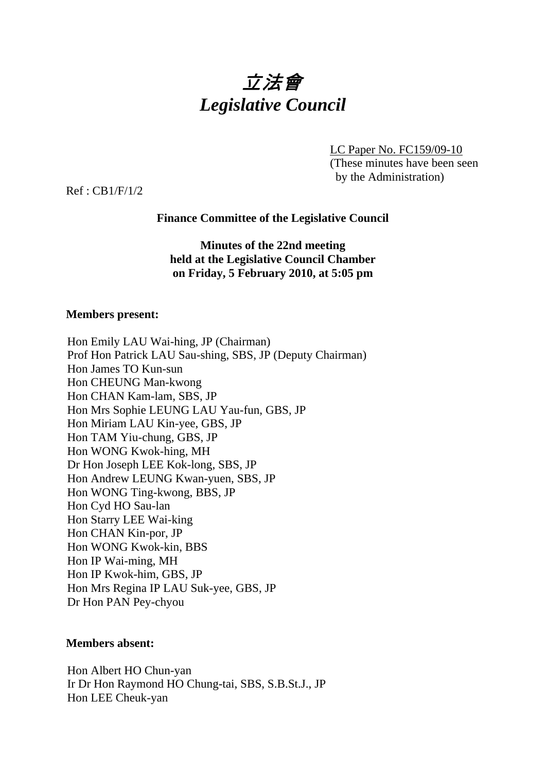

LC Paper No. FC159/09-10 (These minutes have been seen by the Administration)

Ref : CB1/F/1/2

# **Finance Committee of the Legislative Council**

**Minutes of the 22nd meeting held at the Legislative Council Chamber on Friday, 5 February 2010, at 5:05 pm** 

### **Members present:**

Hon Emily LAU Wai-hing, JP (Chairman) Prof Hon Patrick LAU Sau-shing, SBS, JP (Deputy Chairman) Hon James TO Kun-sun Hon CHEUNG Man-kwong Hon CHAN Kam-lam, SBS, JP Hon Mrs Sophie LEUNG LAU Yau-fun, GBS, JP Hon Miriam LAU Kin-yee, GBS, JP Hon TAM Yiu-chung, GBS, JP Hon WONG Kwok-hing, MH Dr Hon Joseph LEE Kok-long, SBS, JP Hon Andrew LEUNG Kwan-yuen, SBS, JP Hon WONG Ting-kwong, BBS, JP Hon Cyd HO Sau-lan Hon Starry LEE Wai-king Hon CHAN Kin-por, JP Hon WONG Kwok-kin, BBS Hon IP Wai-ming, MH Hon IP Kwok-him, GBS, JP Hon Mrs Regina IP LAU Suk-yee, GBS, JP Dr Hon PAN Pey-chyou

### **Members absent:**

Hon Albert HO Chun-yan Ir Dr Hon Raymond HO Chung-tai, SBS, S.B.St.J., JP Hon LEE Cheuk-yan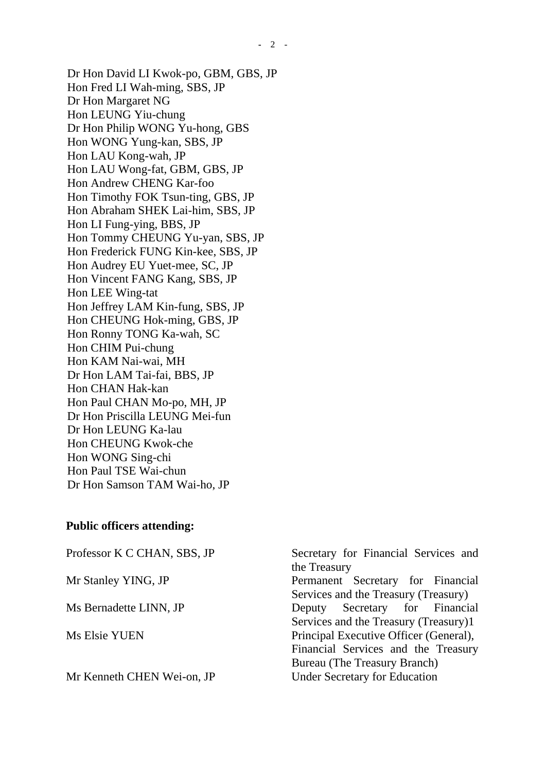Dr Hon David LI Kwok-po, GBM, GBS, JP Hon Fred LI Wah-ming, SBS, JP Dr Hon Margaret NG Hon LEUNG Yiu-chung Dr Hon Philip WONG Yu-hong, GBS Hon WONG Yung-kan, SBS, JP Hon LAU Kong-wah, JP Hon LAU Wong-fat, GBM, GBS, JP Hon Andrew CHENG Kar-foo Hon Timothy FOK Tsun-ting, GBS, JP Hon Abraham SHEK Lai-him, SBS, JP Hon LI Fung-ying, BBS, JP Hon Tommy CHEUNG Yu-yan, SBS, JP Hon Frederick FUNG Kin-kee, SBS, JP Hon Audrey EU Yuet-mee, SC, JP Hon Vincent FANG Kang, SBS, JP Hon LEE Wing-tat Hon Jeffrey LAM Kin-fung, SBS, JP Hon CHEUNG Hok-ming, GBS, JP Hon Ronny TONG Ka-wah, SC Hon CHIM Pui-chung Hon KAM Nai-wai, MH Dr Hon LAM Tai-fai, BBS, JP Hon CHAN Hak-kan Hon Paul CHAN Mo-po, MH, JP Dr Hon Priscilla LEUNG Mei-fun Dr Hon LEUNG Ka-lau Hon CHEUNG Kwok-che Hon WONG Sing-chi Hon Paul TSE Wai-chun

#### **Public officers attending:**

Dr Hon Samson TAM Wai-ho, JP

Professor K C CHAN, SBS, JP Secretary for Financial Services and the Treasury Mr Stanley YING, JP Permanent Secretary for Financial Services and the Treasury (Treasury) Ms Bernadette LINN, JP Deputy Secretary for Financial Services and the Treasury (Treasury)1 Ms Elsie YUEN Principal Executive Officer (General), Financial Services and the Treasury Bureau (The Treasury Branch) Mr Kenneth CHEN Wei-on, JP Under Secretary for Education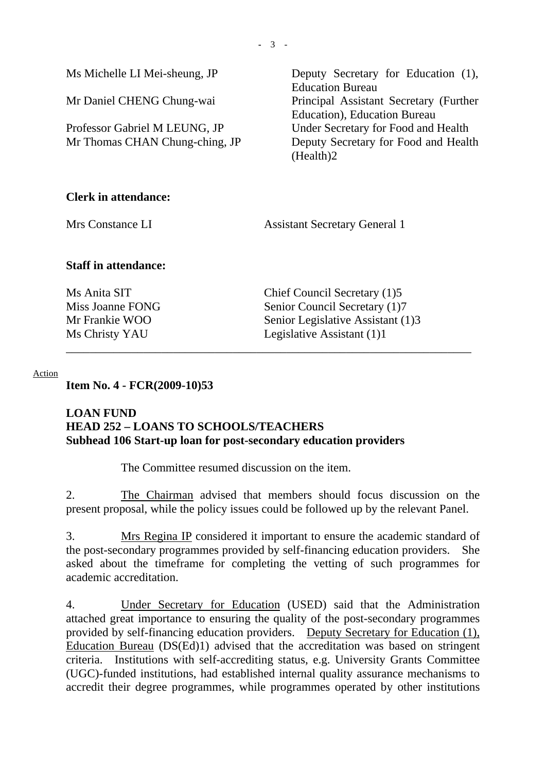**-** 3 -

Ms Michelle LI Mei-sheung, JP Deputy Secretary for Education (1), Education Bureau Mr Daniel CHENG Chung-wai Principal Assistant Secretary (Further Education), Education Bureau Professor Gabriel M LEUNG, JP Under Secretary for Food and Health Mr Thomas CHAN Chung-ching, JP Deputy Secretary for Food and Health (Health)2

# **Clerk in attendance:**

Mrs Constance LI Assistant Secretary General 1

## **Staff in attendance:**

Ms Anita SIT Chief Council Secretary (1)5 Miss Joanne FONG Senior Council Secretary (1)7 Mr Frankie WOO Senior Legislative Assistant (1)3 Ms Christy YAU Legislative Assistant (1)1

#### Action

**Item No. 4 - FCR(2009-10)53** 

## **LOAN FUND HEAD 252 – LOANS TO SCHOOLS/TEACHERS Subhead 106 Start-up loan for post-secondary education providers**

The Committee resumed discussion on the item.

2. The Chairman advised that members should focus discussion on the present proposal, while the policy issues could be followed up by the relevant Panel.

\_\_\_\_\_\_\_\_\_\_\_\_\_\_\_\_\_\_\_\_\_\_\_\_\_\_\_\_\_\_\_\_\_\_\_\_\_\_\_\_\_\_\_\_\_\_\_\_\_\_\_\_\_\_\_\_\_\_\_\_\_\_\_\_\_\_\_\_

3. Mrs Regina IP considered it important to ensure the academic standard of the post-secondary programmes provided by self-financing education providers. She asked about the timeframe for completing the vetting of such programmes for academic accreditation.

4. Under Secretary for Education (USED) said that the Administration attached great importance to ensuring the quality of the post-secondary programmes provided by self-financing education providers. Deputy Secretary for Education (1), Education Bureau (DS(Ed)1) advised that the accreditation was based on stringent criteria. Institutions with self-accrediting status, e.g. University Grants Committee (UGC)-funded institutions, had established internal quality assurance mechanisms to accredit their degree programmes, while programmes operated by other institutions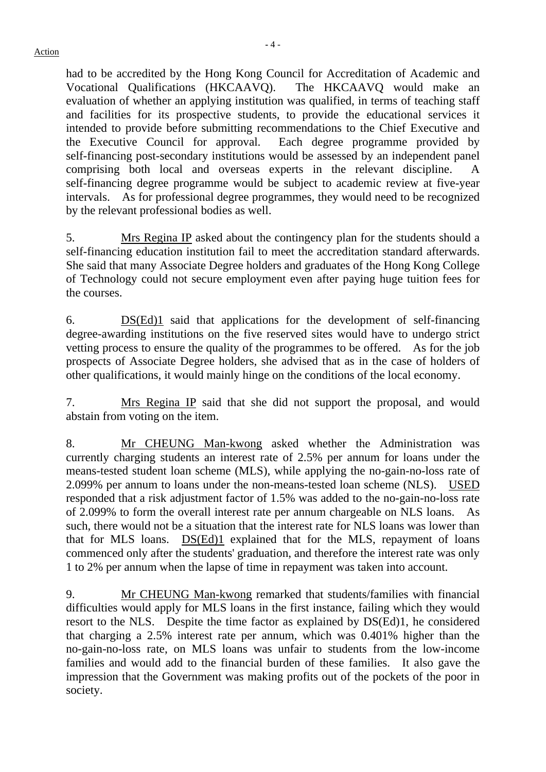had to be accredited by the Hong Kong Council for Accreditation of Academic and Vocational Qualifications (HKCAAVQ).The HKCAAVQ would make an evaluation of whether an applying institution was qualified, in terms of teaching staff and facilities for its prospective students, to provide the educational services it intended to provide before submitting recommendations to the Chief Executive and the Executive Council for approval. Each degree programme provided by self-financing post-secondary institutions would be assessed by an independent panel comprising both local and overseas experts in the relevant discipline. A self-financing degree programme would be subject to academic review at five-year intervals. As for professional degree programmes, they would need to be recognized by the relevant professional bodies as well.

5. Mrs Regina IP asked about the contingency plan for the students should a self-financing education institution fail to meet the accreditation standard afterwards. She said that many Associate Degree holders and graduates of the Hong Kong College of Technology could not secure employment even after paying huge tuition fees for the courses.

6. DS(Ed)1 said that applications for the development of self-financing degree-awarding institutions on the five reserved sites would have to undergo strict vetting process to ensure the quality of the programmes to be offered. As for the job prospects of Associate Degree holders, she advised that as in the case of holders of other qualifications, it would mainly hinge on the conditions of the local economy.

7. Mrs Regina IP said that she did not support the proposal, and would abstain from voting on the item.

8. Mr CHEUNG Man-kwong asked whether the Administration was currently charging students an interest rate of 2.5% per annum for loans under the means-tested student loan scheme (MLS), while applying the no-gain-no-loss rate of 2.099% per annum to loans under the non-means-tested loan scheme (NLS). USED responded that a risk adjustment factor of 1.5% was added to the no-gain-no-loss rate of 2.099% to form the overall interest rate per annum chargeable on NLS loans. As such, there would not be a situation that the interest rate for NLS loans was lower than that for MLS loans. DS(Ed)1 explained that for the MLS, repayment of loans commenced only after the students' graduation, and therefore the interest rate was only 1 to 2% per annum when the lapse of time in repayment was taken into account.

9. Mr CHEUNG Man-kwong remarked that students/families with financial difficulties would apply for MLS loans in the first instance, failing which they would resort to the NLS. Despite the time factor as explained by DS(Ed)1, he considered that charging a 2.5% interest rate per annum, which was 0.401% higher than the no-gain-no-loss rate, on MLS loans was unfair to students from the low-income families and would add to the financial burden of these families. It also gave the impression that the Government was making profits out of the pockets of the poor in society.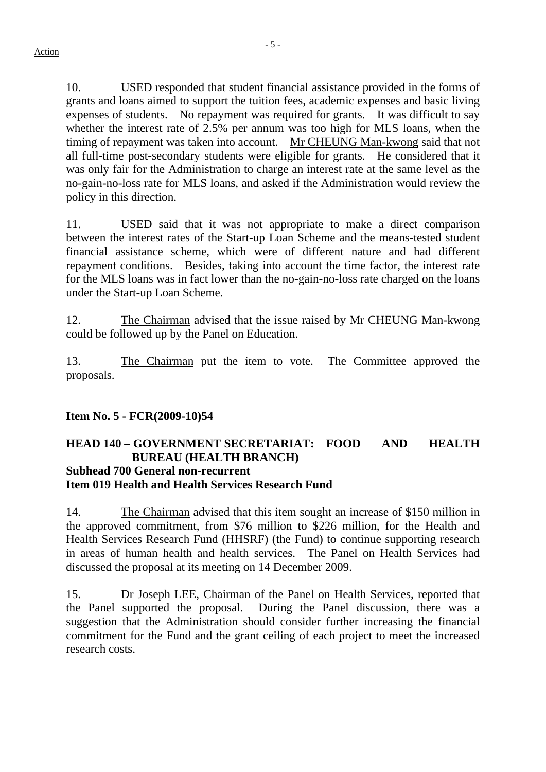10. USED responded that student financial assistance provided in the forms of grants and loans aimed to support the tuition fees, academic expenses and basic living expenses of students. No repayment was required for grants. It was difficult to say whether the interest rate of 2.5% per annum was too high for MLS loans, when the timing of repayment was taken into account. Mr CHEUNG Man-kwong said that not all full-time post-secondary students were eligible for grants. He considered that it was only fair for the Administration to charge an interest rate at the same level as the no-gain-no-loss rate for MLS loans, and asked if the Administration would review the policy in this direction.

11. USED said that it was not appropriate to make a direct comparison between the interest rates of the Start-up Loan Scheme and the means-tested student financial assistance scheme, which were of different nature and had different repayment conditions. Besides, taking into account the time factor, the interest rate for the MLS loans was in fact lower than the no-gain-no-loss rate charged on the loans under the Start-up Loan Scheme.

12. The Chairman advised that the issue raised by Mr CHEUNG Man-kwong could be followed up by the Panel on Education.

13. The Chairman put the item to vote. The Committee approved the proposals.

# **Item No. 5 - FCR(2009-10)54**

### **HEAD 140 – GOVERNMENT SECRETARIAT: FOOD AND HEALTH BUREAU (HEALTH BRANCH) Subhead 700 General non-recurrent Item 019 Health and Health Services Research Fund**

14. The Chairman advised that this item sought an increase of \$150 million in the approved commitment, from \$76 million to \$226 million, for the Health and Health Services Research Fund (HHSRF) (the Fund) to continue supporting research in areas of human health and health services. The Panel on Health Services had discussed the proposal at its meeting on 14 December 2009.

15. Dr Joseph LEE, Chairman of the Panel on Health Services, reported that the Panel supported the proposal. During the Panel discussion, there was a suggestion that the Administration should consider further increasing the financial commitment for the Fund and the grant ceiling of each project to meet the increased research costs.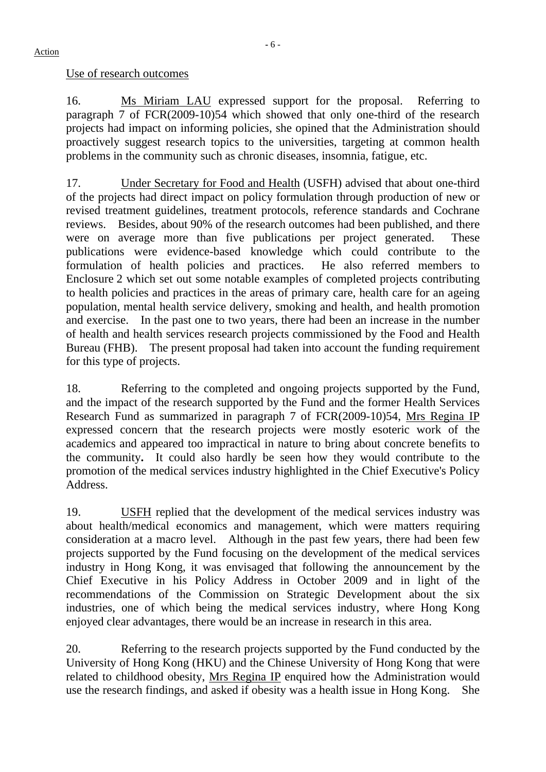### Use of research outcomes

16. Ms Miriam LAU expressed support for the proposal. Referring to paragraph 7 of FCR(2009-10)54 which showed that only one-third of the research projects had impact on informing policies, she opined that the Administration should proactively suggest research topics to the universities, targeting at common health problems in the community such as chronic diseases, insomnia, fatigue, etc.

17. Under Secretary for Food and Health (USFH) advised that about one-third of the projects had direct impact on policy formulation through production of new or revised treatment guidelines, treatment protocols, reference standards and Cochrane reviews. Besides, about 90% of the research outcomes had been published, and there were on average more than five publications per project generated. These publications were evidence-based knowledge which could contribute to the formulation of health policies and practices. He also referred members to Enclosure 2 which set out some notable examples of completed projects contributing to health policies and practices in the areas of primary care, health care for an ageing population, mental health service delivery, smoking and health, and health promotion and exercise. In the past one to two years, there had been an increase in the number of health and health services research projects commissioned by the Food and Health Bureau (FHB). The present proposal had taken into account the funding requirement for this type of projects.

18. Referring to the completed and ongoing projects supported by the Fund, and the impact of the research supported by the Fund and the former Health Services Research Fund as summarized in paragraph 7 of FCR(2009-10)54, Mrs Regina IP expressed concern that the research projects were mostly esoteric work of the academics and appeared too impractical in nature to bring about concrete benefits to the community**.** It could also hardly be seen how they would contribute to the promotion of the medical services industry highlighted in the Chief Executive's Policy Address.

19. USFH replied that the development of the medical services industry was about health/medical economics and management, which were matters requiring consideration at a macro level. Although in the past few years, there had been few projects supported by the Fund focusing on the development of the medical services industry in Hong Kong, it was envisaged that following the announcement by the Chief Executive in his Policy Address in October 2009 and in light of the recommendations of the Commission on Strategic Development about the six industries, one of which being the medical services industry, where Hong Kong enjoyed clear advantages, there would be an increase in research in this area.

20. Referring to the research projects supported by the Fund conducted by the University of Hong Kong (HKU) and the Chinese University of Hong Kong that were related to childhood obesity, Mrs Regina IP enquired how the Administration would use the research findings, and asked if obesity was a health issue in Hong Kong. She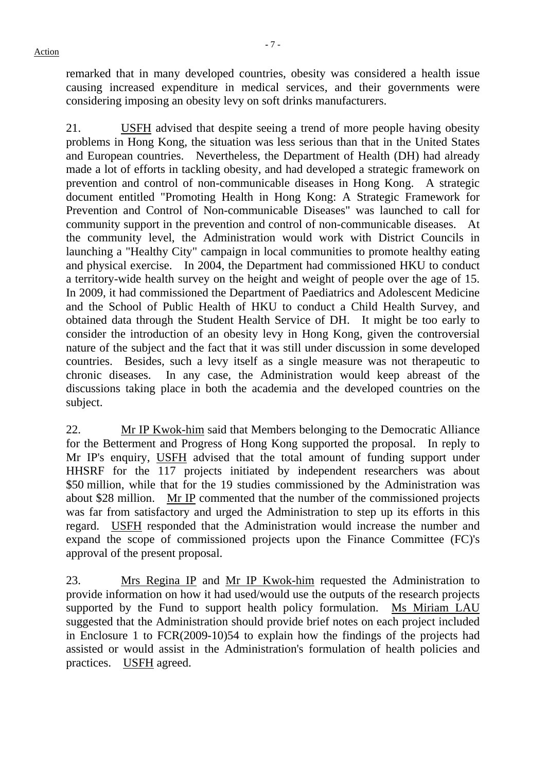remarked that in many developed countries, obesity was considered a health issue causing increased expenditure in medical services, and their governments were considering imposing an obesity levy on soft drinks manufacturers.

21. USFH advised that despite seeing a trend of more people having obesity problems in Hong Kong, the situation was less serious than that in the United States and European countries.Nevertheless, the Department of Health (DH) had already made a lot of efforts in tackling obesity, and had developed a strategic framework on prevention and control of non-communicable diseases in Hong Kong. A strategic document entitled "Promoting Health in Hong Kong: A Strategic Framework for Prevention and Control of Non-communicable Diseases" was launched to call for community support in the prevention and control of non-communicable diseases. At the community level, the Administration would work with District Councils in launching a "Healthy City" campaign in local communities to promote healthy eating and physical exercise. In 2004, the Department had commissioned HKU to conduct a territory-wide health survey on the height and weight of people over the age of 15. In 2009, it had commissioned the Department of Paediatrics and Adolescent Medicine and the School of Public Health of HKU to conduct a Child Health Survey, and obtained data through the Student Health Service of DH. It might be too early to consider the introduction of an obesity levy in Hong Kong, given the controversial nature of the subject and the fact that it was still under discussion in some developed countries. Besides, such a levy itself as a single measure was not therapeutic to chronic diseases. In any case, the Administration would keep abreast of the discussions taking place in both the academia and the developed countries on the subject.

22. Mr IP Kwok-him said that Members belonging to the Democratic Alliance for the Betterment and Progress of Hong Kong supported the proposal. In reply to Mr IP's enquiry, USFH advised that the total amount of funding support under HHSRF for the 117 projects initiated by independent researchers was about \$50 million, while that for the 19 studies commissioned by the Administration was about \$28 million. Mr IP commented that the number of the commissioned projects was far from satisfactory and urged the Administration to step up its efforts in this regard. USFH responded that the Administration would increase the number and expand the scope of commissioned projects upon the Finance Committee (FC)'s approval of the present proposal.

23. Mrs Regina IP and Mr IP Kwok-him requested the Administration to provide information on how it had used/would use the outputs of the research projects supported by the Fund to support health policy formulation. Ms Miriam LAU suggested that the Administration should provide brief notes on each project included in Enclosure 1 to FCR(2009-10)54 to explain how the findings of the projects had assisted or would assist in the Administration's formulation of health policies and practices. USFH agreed.